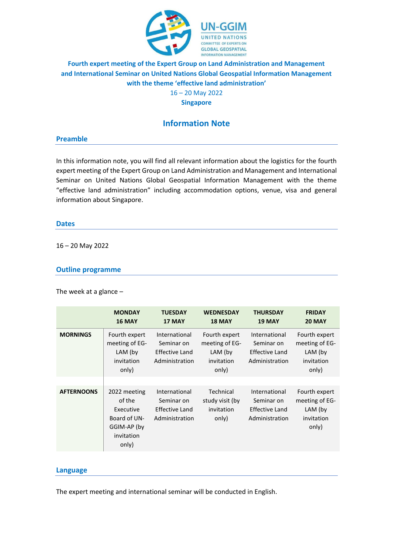

# **Fourth expert meeting of the Expert Group on Land Administration and Management and International Seminar on United Nations Global Geospatial Information Management with the theme 'effective land administration'**

16 – 20 May 2022

**Singapore**

# **Information Note**

#### **Preamble**

In this information note, you will find all relevant information about the logistics for the fourth expert meeting of the Expert Group on Land Administration and Management and International Seminar on United Nations Global Geospatial Information Management with the theme "effective land administration" including accommodation options, venue, visa and general information about Singapore.

#### **Dates**

16 – 20 May 2022

### **Outline programme**

The week at a glance –

|                   | <b>MONDAY</b><br><b>16 MAY</b>                                                            | <b>TUESDAY</b><br>17 MAY                                        | <b>WEDNESDAY</b><br><b>18 MAY</b>                                   | <b>THURSDAY</b><br><b>19 MAY</b>                                | <b>FRIDAY</b><br><b>20 MAY</b>                                    |
|-------------------|-------------------------------------------------------------------------------------------|-----------------------------------------------------------------|---------------------------------------------------------------------|-----------------------------------------------------------------|-------------------------------------------------------------------|
| <b>MORNINGS</b>   | Fourth expert<br>meeting of EG-<br>LAM (by<br>invitation<br>only)                         | International<br>Seminar on<br>Effective Land<br>Administration | Fourth expert<br>meeting of EG-<br>$LAM$ (by<br>invitation<br>only) | International<br>Seminar on<br>Effective Land<br>Administration | Fourth expert<br>meeting of EG-<br>LAM (by<br>invitation<br>only) |
|                   |                                                                                           |                                                                 |                                                                     |                                                                 |                                                                   |
| <b>AFTERNOONS</b> | 2022 meeting<br>of the<br>Executive<br>Board of UN-<br>GGIM-AP (by<br>invitation<br>only) | International<br>Seminar on<br>Effective Land<br>Administration | Technical<br>study visit (by<br>invitation<br>only)                 | International<br>Seminar on<br>Effective Land<br>Administration | Fourth expert<br>meeting of EG-<br>LAM (by<br>invitation<br>only) |

### **Language**

The expert meeting and international seminar will be conducted in English.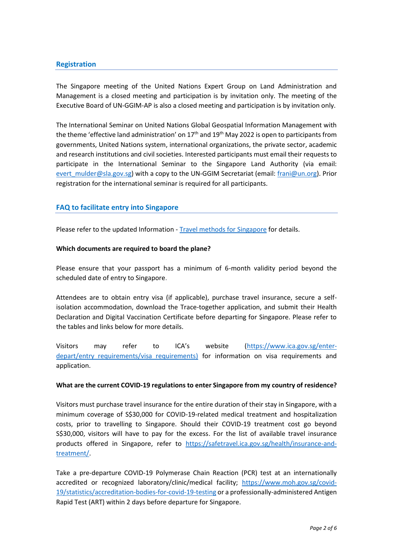## **Registration**

The Singapore meeting of the United Nations Expert Group on Land Administration and Management is a closed meeting and participation is by invitation only. The meeting of the Executive Board of UN-GGIM-AP is also a closed meeting and participation is by invitation only.

The International Seminar on United Nations Global Geospatial Information Management with the theme 'effective land administration' on  $17<sup>th</sup>$  and  $19<sup>th</sup>$  May 2022 is open to participants from governments, United Nations system, international organizations, the private sector, academic and research institutions and civil societies. Interested participants must email their requests to participate in the International Seminar to the Singapore Land Authority (via email: evert mulder@sla.gov.sg) with a copy to the UN-GGIM Secretariat (email: [frani@un.org\)](mailto:frani@un.org). Prior registration for the international seminar is required for all participants.

### **FAQ to facilitate entry into Singapore**

Please refer to the updated Information - [Travel methods for Singapore](https://ggim.un.org/meetings/2022/4th-EG-LAM/documents/Information-Travel-Methods-into-Singapore_SLA_6Apr.pdf) for details.

#### **Which documents are required to board the plane?**

Please ensure that your passport has a minimum of 6-month validity period beyond the scheduled date of entry to Singapore.

Attendees are to obtain entry visa (if applicable), purchase travel insurance, secure a selfisolation accommodation, download the Trace-together application, and submit their Health Declaration and Digital Vaccination Certificate before departing for Singapore. Please refer to the tables and links below for more details.

Visitors may refer to ICA's website ([https://www.ica.gov.sg/enter](https://www.ica.gov.sg/enter-depart/entry_requirements/visa_requirements)depart/entry requirements/visa requirements) for information on visa requirements and application.

#### **What are the current COVID-19 regulations to enter Singapore from my country of residence?**

Visitors must purchase travel insurance for the entire duration of their stay in Singapore, with a minimum coverage of S\$30,000 for COVID-19-related medical treatment and hospitalization costs, prior to travelling to Singapore. Should their COVID-19 treatment cost go beyond S\$30,000, visitors will have to pay for the excess. For the list of available travel insurance products offered in Singapore, refer to [https://safetravel.ica.gov.sg/health/insurance-and](https://safetravel.ica.gov.sg/health/insurance-and-treatment/)[treatment/.](https://safetravel.ica.gov.sg/health/insurance-and-treatment/)

Take a pre-departure COVID-19 Polymerase Chain Reaction (PCR) test at an internationally accredited or recognized laboratory/clinic/medical facility; [https://www.moh.gov.sg/covid-](https://www.moh.gov.sg/covid-19/statistics/accreditation-bodies-for-covid-19-testing)[19/statistics/accreditation-bodies-for-covid-19-testing](https://www.moh.gov.sg/covid-19/statistics/accreditation-bodies-for-covid-19-testing) or a professionally-administered Antigen Rapid Test (ART) within 2 days before departure for Singapore.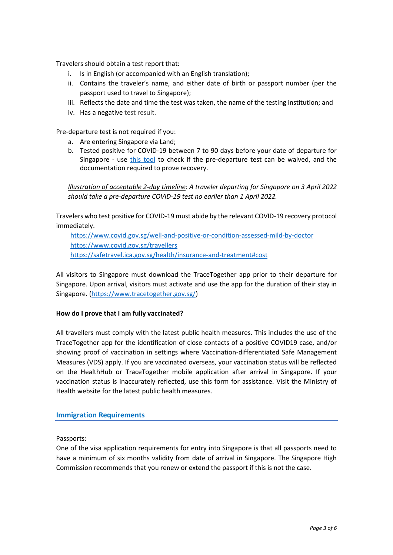Travelers should obtain a test report that:

- i. Is in English (or accompanied with an English translation);
- ii. Contains the traveler's name, and either date of birth or passport number (per the passport used to travel to Singapore);
- iii. Reflects the date and time the test was taken, the name of the testing institution; and
- iv. Has a negative test result.

Pre-departure test is not required if you:

- a. Are entering Singapore via Land;
- b. Tested positive for COVID-19 between 7 to 90 days before your date of departure for Singapore - use [this tool](https://www.checkfirst.gov.sg/c/7f36b15e-3d3d-4b95-a904-7a5de6c6ddfb) to check if the pre-departure test can be waived, and the documentation required to prove recovery.

*Illustration of acceptable 2-day timeline: A traveler departing for Singapore on 3 April 2022 should take a pre-departure COVID-19 test no earlier than 1 April 2022.*

Travelers who test positive for COVID-19 must abide by the relevant COVID-19 recovery protocol immediately.

<https://www.covid.gov.sg/well-and-positive-or-condition-assessed-mild-by-doctor> <https://www.covid.gov.sg/travellers> <https://safetravel.ica.gov.sg/health/insurance-and-treatment#cost>

All visitors to Singapore must download the TraceTogether app prior to their departure for Singapore. Upon arrival, visitors must activate and use the app for the duration of their stay in Singapore. [\(https://www.tracetogether.gov.sg/\)](https://www.tracetogether.gov.sg/)

### **How do I prove that I am fully vaccinated?**

All travellers must comply with the latest public health measures. This includes the use of the TraceTogether app for the identification of close contacts of a positive COVID19 case, and/or showing proof of vaccination in settings where Vaccination-differentiated Safe Management Measures (VDS) apply. If you are vaccinated overseas, your vaccination status will be reflected on the HealthHub or TraceTogether mobile application after arrival in Singapore. If your vaccination status is inaccurately reflected, use this form for assistance. Visit the Ministry of Health website for the latest public health measures.

## **Immigration Requirements**

### Passports:

One of the visa application requirements for entry into Singapore is that all passports need to have a minimum of six months validity from date of arrival in Singapore. The Singapore High Commission recommends that you renew or extend the passport if this is not the case.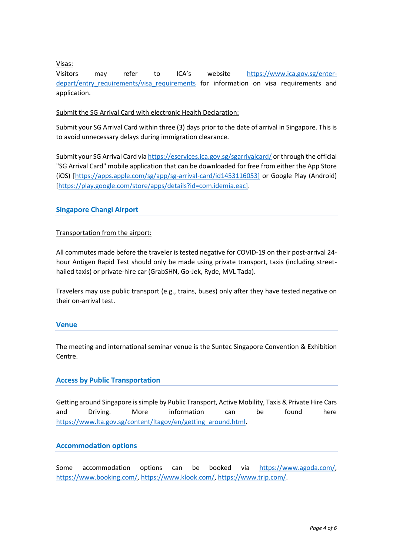Visas:

Visitors may refer to ICA's website [https://www.ica.gov.sg/enter](https://www.ica.gov.sg/enter-depart/entry_requirements/visa_requirements)depart/entry requirements/visa requirements for information on visa requirements and application.

### Submit the SG Arrival Card with electronic Health Declaration:

Submit your SG Arrival Card within three (3) days prior to the date of arrival in Singapore. This is to avoid unnecessary delays during immigration clearance.

Submit your SG Arrival Card vi[a https://eservices.ica.gov.sg/sgarrivalcard/](https://eservices.ica.gov.sg/sgarrivalcard/) or through the official "SG Arrival Card" mobile application that can be downloaded for free from either the App Store (iOS) [\[https://apps.apple.com/sg/app/sg-arrival-card/id1453116053\]](https://apps.apple.com/sg/app/sg-arrival-card/id1453116053%5d) or Google Play (Android) [\[https://play.google.com/store/apps/details?id=com.idemia.eac\].](https://play.google.com/store/apps/details?id=com.idemia.eac%5d)

## **Singapore Changi Airport**

### Transportation from the airport:

All commutes made before the traveler is tested negative for COVID-19 on their post-arrival 24 hour Antigen Rapid Test should only be made using private transport, taxis (including streethailed taxis) or private-hire car (GrabSHN, Go-Jek, Ryde, MVL Tada).

Travelers may use public transport (e.g., trains, buses) only after they have tested negative on their on-arrival test.

### **Venue**

The meeting and international seminar venue is the Suntec Singapore Convention & Exhibition Centre.

## **Access by Public Transportation**

Getting around Singapore is simple by Public Transport, Active Mobility, Taxis & Private Hire Cars and Driving. More information can be found here [https://www.lta.gov.sg/content/ltagov/en/getting\\_around.html.](https://www.lta.gov.sg/content/ltagov/en/getting_around.html)

## **Accommodation options**

Some accommodation options can be booked via [https://www.agoda.com/,](https://www.agoda.com/) [https://www.booking.com/,](https://www.booking.com/) [https://www.klook.com/,](https://www.klook.com/) [https://www.trip.com/.](https://www.trip.com/)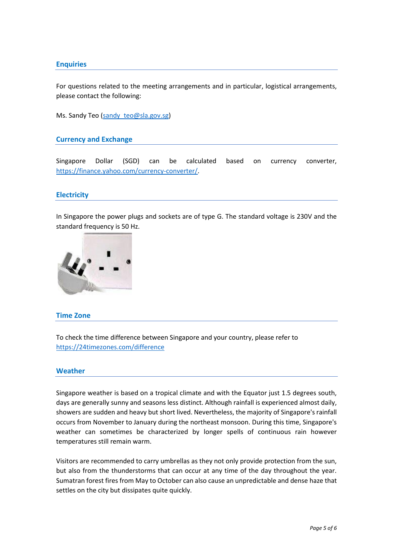## **Enquiries**

For questions related to the meeting arrangements and in particular, logistical arrangements, please contact the following:

Ms. Sandy Teo (sandy teo@sla.gov.sg)

#### **Currency and Exchange**

Singapore Dollar (SGD) can be calculated based on currency converter, [https://finance.yahoo.com/currency-converter/.](https://finance.yahoo.com/currency-converter/)

### **Electricity**

In Singapore the power plugs and sockets are of type G. The standard voltage is 230V and the standard frequency is 50 Hz.



#### **Time Zone**

To check the time difference between Singapore and your country, please refer to <https://24timezones.com/difference>

#### **Weather**

Singapore weather is based on a tropical climate and with the Equator just 1.5 degrees south, days are generally sunny and seasons less distinct. Although rainfall is experienced almost daily, showers are sudden and heavy but short lived. Nevertheless, the majority of Singapore's rainfall occurs from November to January during the northeast monsoon. During this time, Singapore's weather can sometimes be characterized by longer spells of continuous rain however temperatures still remain warm.

Visitors are recommended to carry umbrellas as they not only provide protection from the sun, but also from the thunderstorms that can occur at any time of the day throughout the year. Sumatran forest fires from May to October can also cause an unpredictable and dense haze that settles on the city but dissipates quite quickly.